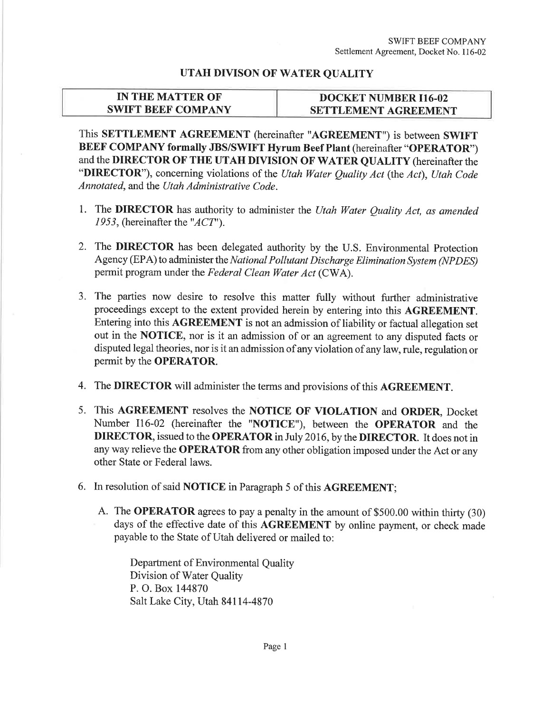## UTAH DIVISON OF WATER QUALITY

## IN THE MATTER OF SWIFT BEEF COMPANY

## DOCKET NUMBER 116.02 SETTLEMENT AGREEMENT

This SETTLEMENT AGREEMENT (hereinafter "AGREEMENT") is between SWIFT BEEF COMPANY formally JBS/SWIFT Hyrum Beef Plant (hereinafter "OPERATOR") and the DIRECTOR OF THE UTAH DIVISION OF WATER QUALITY (hereinafter the "DIRECTOR"), concerning violations of the Utah Water Quality Act (the Act), Utah Code Annotated, and the Utøh Administrative Code.

- 1. The DIRECTOR has authority to administer the Utah Water Quality Act, as amended 1953, (hereinafter the " $ACT$ ").
- 2. The DIRECTOR has been delegated authority by the U.S. Environmental Protection Agency (EPA) to administer the National Pollutant Discharge Elimination System (NPDES) permit program under the Federal Clean Water Act (CWA).
- 3. The parties now desire to resolve this matter fully without further administrative proceedings except to the extent provided herein by entering into this AGREEMENT. Entering into this AGREEMENT is not an admission of liability or factual allegation set out in the NOTICE, nor is it an admission of or an agreement to any disputed facts or disputed legal theories, nor is it an admission of any violation of any law, rule, regulation or permit by the OPERATOR.
- 4. The DIRECTOR will administer the terms and provisions of this AGREEMENT.
- 5. This AGREEMENT resolves the NOTICE OF VIOLATION and ORDER, Docket Number 116-02 (hereinafter the "NOTICE"), between the OPERATOR and the DIRECTOR, issued to the OPERATOR in July 2016, by the DIRECTOR. It does not in any way relieve the OPERATOR from any other obligation imposed under the Act or any other State or Federal laws.
- 6. In resolution of said NOTICE in Paragraph 5 of this AGREEMENT;
	- A. The OPERATOR agrees to pay a penalty in the amount of \$500.00 within thirty (30) days of the effective date of this AGREEMENT by online payment, or check made payable to the State of Utah delivered or mailed to:

Department of Environmental Quality Division of Water Quality P. O. Box 144870 Salt Lake City, Utah 84114-4870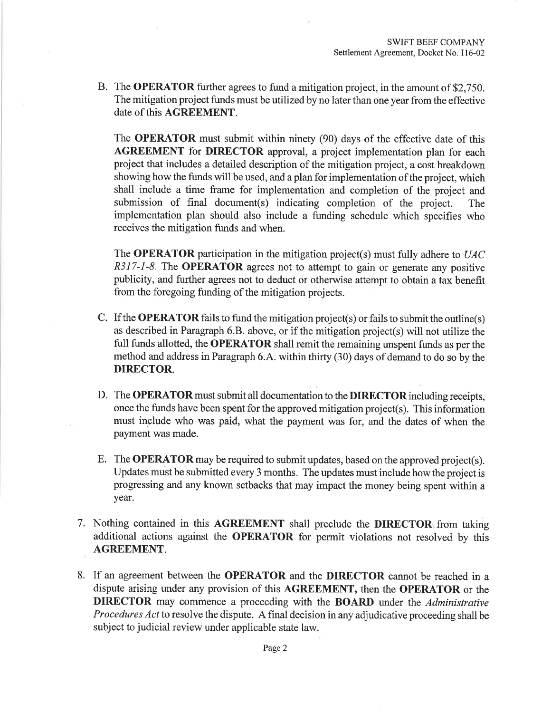B. The OPERATOR further agrees to fund a mitigation project, in the amount of \$2,750. The mitigation project funds must be utilized by no later than one year from the effective date of this AGREEMENT.

The OPERATOR must submit within ninety (90) days of the effective date of this AGREEMENT for DIRECTOR approval, a project implementation plan for each project that includes a detailed description of the mitigation project, a cost breakdown showing how the funds will be used, and a plan for implementation of the project, which shall include a time frame for implementation and completion of the project and submission of final document(s) indicating completion of the project. The implementation plan should also include a funding schedule which specifies who receives the mitigation funds and when.

The **OPERATOR** participation in the mitigation project(s) must fully adhere to  $UAC$ R317-1-8. The OPERATOR agrees not to attempt to gain or generate any positive publicity, and further agrees not to deduct or otherwise attempt to obtain a tax benefit from the foregoing funding of the mitigation projects.

- C. If the **OPERATOR** fails to fund the mitigation project(s) or fails to submit the outline(s) as described in Paragraph 6.8. above, or if the mitigation project(s) will not utilize the fulI funds allotted, the OPERATOR shall remit the remaining unspent funds as per the method and address in Paragraph 6.4. within thirty (30) days of demand to do so by the DIRECTOR.
- D. The OPERATOR must submit all documentation to the DIRECTOR including receipts, once the funds have been spent for the approved mitigation project(s). This information must include who was paid, what the payment was for, and the dates of when the payment was made.
- E. The OPERATOR may be required to submit updates, based on the approved project(s). Updates must be submitted every 3 months. The updates must include how the project is progressing and any known setbacks that may impact the money being spent within a year.
- 7. Nothing contained in this AGREEMENT shall preclude the DIRECTOR from taking additional actions against the OPERATOR for permit violations not resolved by this AGREEMENT.
- 8. If an agreement between the OPERATOR and the DIRECTOR cannot be reached in <sup>a</sup> dispute arising under any provision of this AGREEMENT, then the OPERATOR or the DIRECTOR may commence a proceeding with the BOARD under the Administrative Procedures Act to resolve the dispute. A final decision in any adjudicative proceeding shall be subject to judicial review under applicable state law.